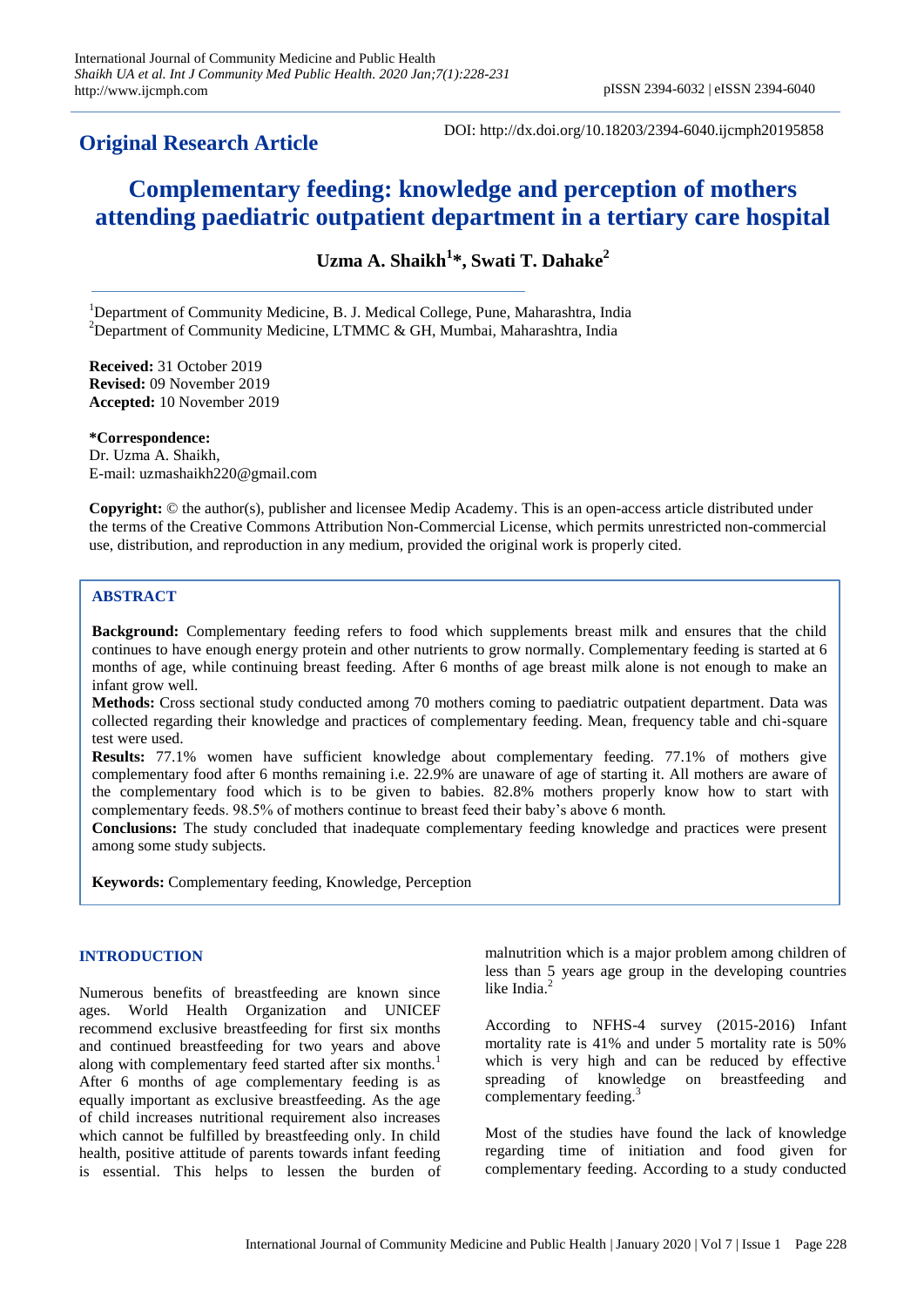## **Original Research Article**

DOI: http://dx.doi.org/10.18203/2394-6040.ijcmph20195858

# **Complementary feeding: knowledge and perception of mothers attending paediatric outpatient department in a tertiary care hospital**

**Uzma A. Shaikh<sup>1</sup> \*, Swati T. Dahake<sup>2</sup>**

<sup>1</sup>Department of Community Medicine, B. J. Medical College, Pune, Maharashtra, India <sup>2</sup>Department of Community Medicine, LTMMC & GH, Mumbai, Maharashtra, India

**Received:** 31 October 2019 **Revised:** 09 November 2019 **Accepted:** 10 November 2019

**\*Correspondence:** Dr. Uzma A. Shaikh, E-mail: uzmashaikh220@gmail.com

**Copyright:** © the author(s), publisher and licensee Medip Academy. This is an open-access article distributed under the terms of the Creative Commons Attribution Non-Commercial License, which permits unrestricted non-commercial use, distribution, and reproduction in any medium, provided the original work is properly cited.

### **ABSTRACT**

**Background:** Complementary feeding refers to food which supplements breast milk and ensures that the child continues to have enough energy protein and other nutrients to grow normally. Complementary feeding is started at 6 months of age, while continuing breast feeding. After 6 months of age breast milk alone is not enough to make an infant grow well.

**Methods:** Cross sectional study conducted among 70 mothers coming to paediatric outpatient department. Data was collected regarding their knowledge and practices of complementary feeding. Mean, frequency table and chi-square test were used.

**Results:** 77.1% women have sufficient knowledge about complementary feeding. 77.1% of mothers give complementary food after 6 months remaining i.e. 22.9% are unaware of age of starting it. All mothers are aware of the complementary food which is to be given to babies. 82.8% mothers properly know how to start with complementary feeds. 98.5% of mothers continue to breast feed their baby's above 6 month.

**Conclusions:** The study concluded that inadequate complementary feeding knowledge and practices were present among some study subjects.

**Keywords:** Complementary feeding, Knowledge, Perception

#### **INTRODUCTION**

Numerous benefits of breastfeeding are known since ages. World Health Organization and UNICEF recommend exclusive breastfeeding for first six months and continued breastfeeding for two years and above along with complementary feed started after six months.<sup>1</sup> After 6 months of age complementary feeding is as equally important as exclusive breastfeeding. As the age of child increases nutritional requirement also increases which cannot be fulfilled by breastfeeding only. In child health, positive attitude of parents towards infant feeding is essential. This helps to lessen the burden of

malnutrition which is a major problem among children of less than 5 years age group in the developing countries like India.<sup>2</sup>

According to NFHS-4 survey (2015-2016) Infant mortality rate is 41% and under 5 mortality rate is 50% which is very high and can be reduced by effective spreading of knowledge on breastfeeding and complementary feeding.<sup>3</sup>

Most of the studies have found the lack of knowledge regarding time of initiation and food given for complementary feeding. According to a study conducted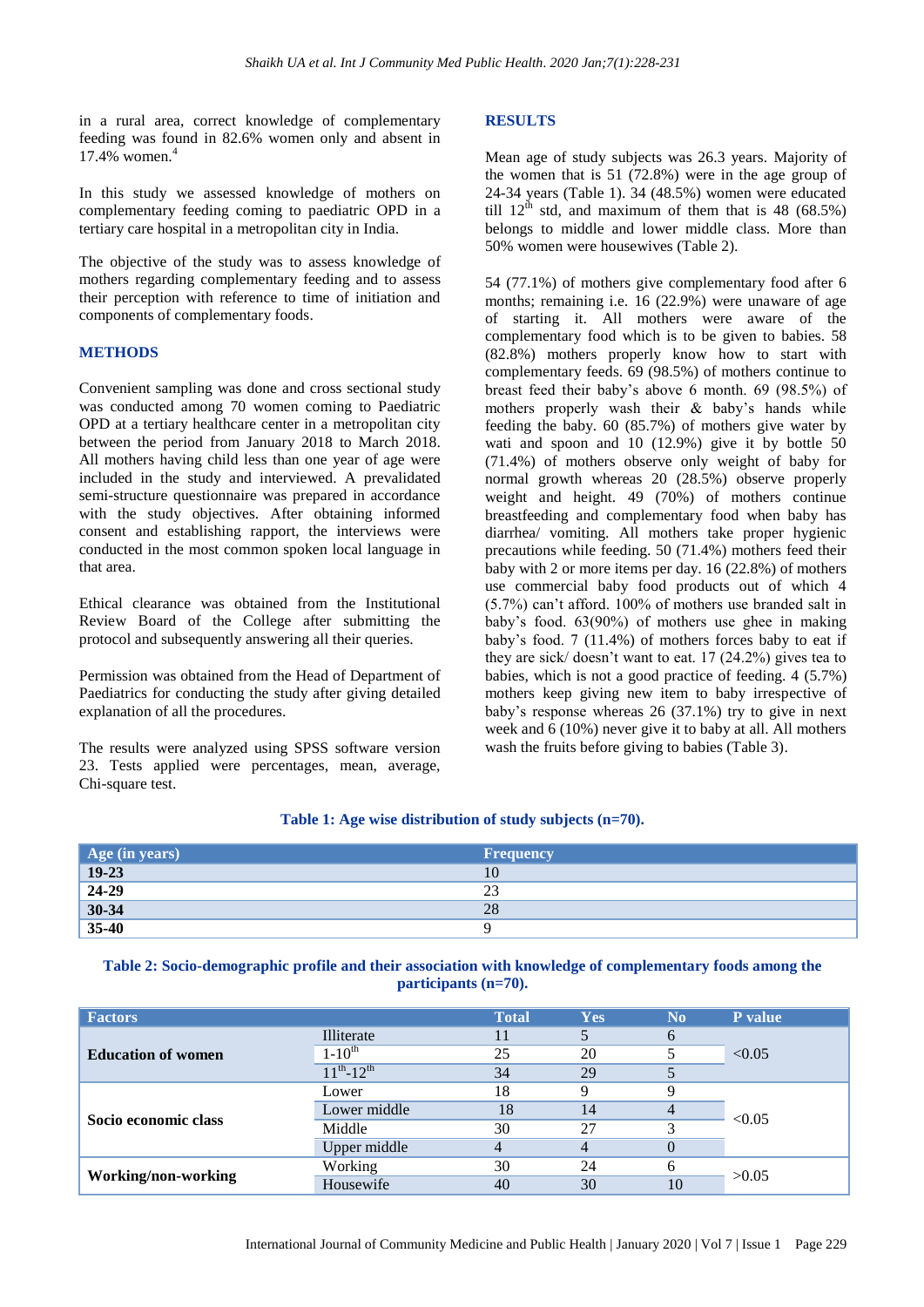in a rural area, correct knowledge of complementary feeding was found in 82.6% women only and absent in 17.4% women.<sup>4</sup>

In this study we assessed knowledge of mothers on complementary feeding coming to paediatric OPD in a tertiary care hospital in a metropolitan city in India.

The objective of the study was to assess knowledge of mothers regarding complementary feeding and to assess their perception with reference to time of initiation and components of complementary foods.

#### **METHODS**

Convenient sampling was done and cross sectional study was conducted among 70 women coming to Paediatric OPD at a tertiary healthcare center in a metropolitan city between the period from January 2018 to March 2018. All mothers having child less than one year of age were included in the study and interviewed. A prevalidated semi-structure questionnaire was prepared in accordance with the study objectives. After obtaining informed consent and establishing rapport, the interviews were conducted in the most common spoken local language in that area.

Ethical clearance was obtained from the Institutional Review Board of the College after submitting the protocol and subsequently answering all their queries.

Permission was obtained from the Head of Department of Paediatrics for conducting the study after giving detailed explanation of all the procedures.

The results were analyzed using SPSS software version 23. Tests applied were percentages, mean, average, Chi-square test.

#### **RESULTS**

Mean age of study subjects was 26.3 years. Majority of the women that is 51 (72.8%) were in the age group of 24-34 years (Table 1). 34 (48.5%) women were educated till  $12<sup>th</sup>$  std, and maximum of them that is 48 (68.5%) belongs to middle and lower middle class. More than 50% women were housewives (Table 2).

54 (77.1%) of mothers give complementary food after 6 months; remaining i.e. 16 (22.9%) were unaware of age of starting it. All mothers were aware of the complementary food which is to be given to babies. 58 (82.8%) mothers properly know how to start with complementary feeds. 69 (98.5%) of mothers continue to breast feed their baby's above 6 month. 69 (98.5%) of mothers properly wash their & baby's hands while feeding the baby. 60 (85.7%) of mothers give water by wati and spoon and 10 (12.9%) give it by bottle 50 (71.4%) of mothers observe only weight of baby for normal growth whereas 20 (28.5%) observe properly weight and height. 49 (70%) of mothers continue breastfeeding and complementary food when baby has diarrhea/ vomiting. All mothers take proper hygienic precautions while feeding. 50 (71.4%) mothers feed their baby with 2 or more items per day. 16 (22.8%) of mothers use commercial baby food products out of which 4 (5.7%) can't afford. 100% of mothers use branded salt in baby's food. 63(90%) of mothers use ghee in making baby's food. 7 (11.4%) of mothers forces baby to eat if they are sick/ doesn't want to eat. 17 (24.2%) gives tea to babies, which is not a good practice of feeding. 4 (5.7%) mothers keep giving new item to baby irrespective of baby's response whereas 26 (37.1%) try to give in next week and 6 (10%) never give it to baby at all. All mothers wash the fruits before giving to babies (Table 3).

| Age (in years) | <b>Frequency</b> |
|----------------|------------------|
| $19-23$        | 10               |
| 24-29          | 23               |
| $30 - 34$      | 28               |
| $35-40$        |                  |

#### **Table 1: Age wise distribution of study subjects (n=70).**

**Table 2: Socio-demographic profile and their association with knowledge of complementary foods among the participants (n=70).**

| <b>Factors</b>            |                     | <b>Total</b> | <b>Yes</b> | N <sub>0</sub> | P value |
|---------------------------|---------------------|--------------|------------|----------------|---------|
| <b>Education of women</b> | Illiterate          |              |            | h              | < 0.05  |
|                           | $1 - 10^{th}$       | 25           | 20         |                |         |
|                           | $11^{th} - 12^{th}$ | 34           | 29         |                |         |
| Socio economic class      | Lower               | 18           |            |                | < 0.05  |
|                           | Lower middle        | 18           | 14         | 4              |         |
|                           | Middle              | 30           | 27         |                |         |
|                           | Upper middle        | 4            |            |                |         |
| Working/non-working       | Working             | 30           | 24         |                | >0.05   |
|                           | Housewife           | 40           | 30         | 10             |         |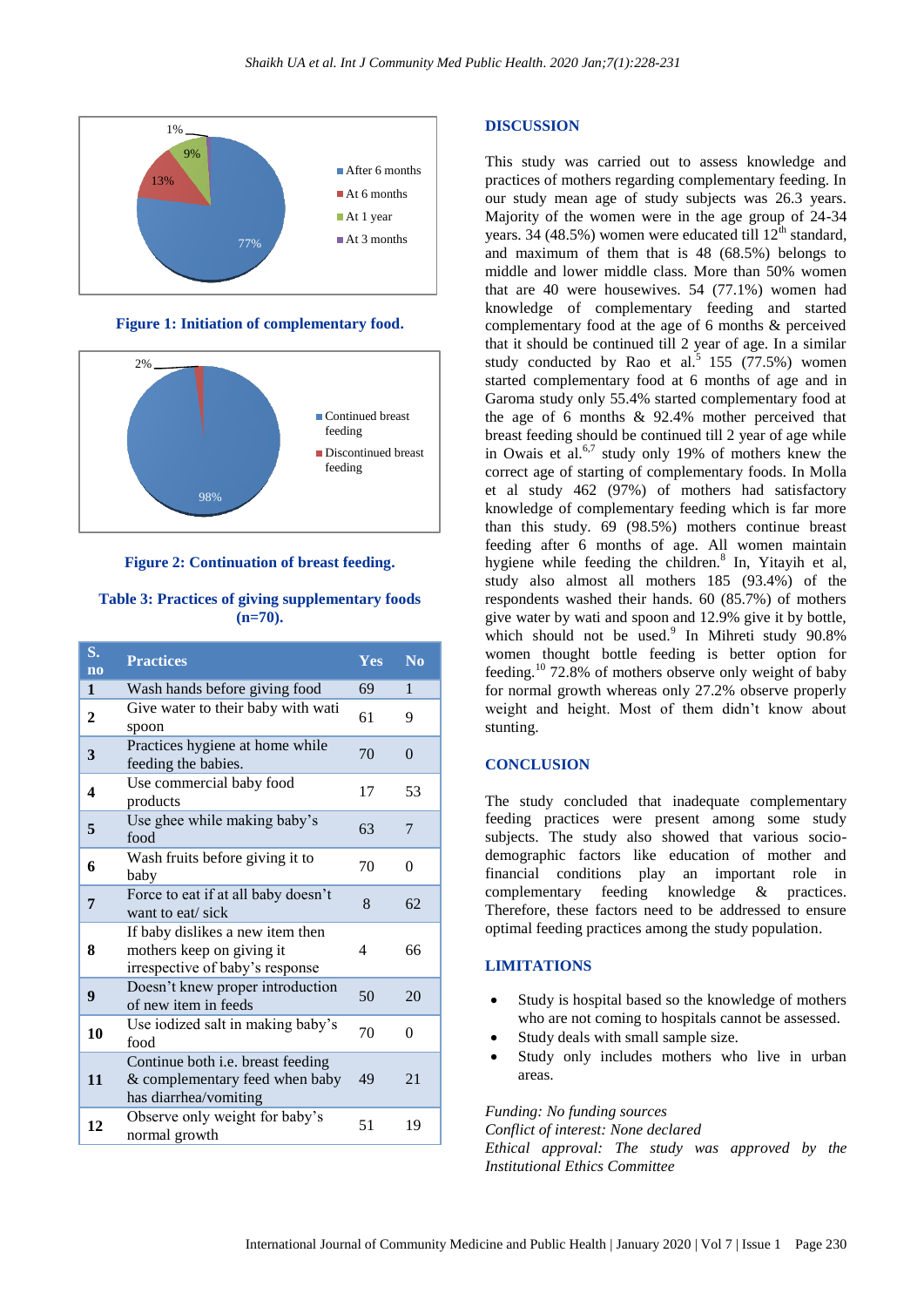

**Figure 1: Initiation of complementary food.**



**Figure 2: Continuation of breast feeding.**

**Table 3: Practices of giving supplementary foods (n=70).**

| S.<br>n <sub>0</sub> | <b>Practices</b>                                                                                 | Yes                      | $\overline{\text{No}}$ |
|----------------------|--------------------------------------------------------------------------------------------------|--------------------------|------------------------|
| 1                    | Wash hands before giving food                                                                    | 69                       | 1                      |
| $\mathbf{2}$         | Give water to their baby with wati<br>spoon                                                      | 61                       | 9                      |
| 3                    | Practices hygiene at home while<br>feeding the babies.                                           | 70                       | $\theta$               |
| $\boldsymbol{4}$     | Use commercial baby food<br>products                                                             | 17                       | 53                     |
| 5                    | Use ghee while making baby's<br>food                                                             | 63                       | 7                      |
| 6                    | Wash fruits before giving it to<br>baby                                                          | 70                       | $\Omega$               |
| 7                    | Force to eat if at all baby doesn't<br>want to eat/ sick                                         | 8                        | 62                     |
| 8                    | If baby dislikes a new item then<br>mothers keep on giving it<br>irrespective of baby's response | $\overline{\mathcal{A}}$ | 66                     |
| 9                    | Doesn't knew proper introduction<br>of new item in feeds                                         | 50                       | 20                     |
| 10                   | Use iodized salt in making baby's<br>food                                                        | 70                       | $\theta$               |
| 11                   | Continue both i.e. breast feeding<br>& complementary feed when baby<br>has diarrhea/vomiting     | 49                       | 21                     |
| 12                   | Observe only weight for baby's<br>normal growth                                                  | 51                       | 19                     |

#### **DISCUSSION**

This study was carried out to assess knowledge and practices of mothers regarding complementary feeding. In our study mean age of study subjects was 26.3 years. Majority of the women were in the age group of 24-34 years. 34 (48.5%) women were educated till 12<sup>th</sup> standard, and maximum of them that is 48 (68.5%) belongs to middle and lower middle class. More than 50% women that are 40 were housewives. 54 (77.1%) women had knowledge of complementary feeding and started complementary food at the age of 6 months & perceived that it should be continued till 2 year of age. In a similar study conducted by Rao et al.<sup>5</sup> 155 (77.5%) women started complementary food at 6 months of age and in Garoma study only 55.4% started complementary food at the age of 6 months & 92.4% mother perceived that breast feeding should be continued till 2 year of age while in Owais et al.<sup>6,7</sup> study only 19% of mothers knew the correct age of starting of complementary foods. In Molla et al study 462 (97%) of mothers had satisfactory knowledge of complementary feeding which is far more than this study. 69 (98.5%) mothers continue breast feeding after 6 months of age. All women maintain hygiene while feeding the children.<sup>8</sup> In, Yitayih et al, study also almost all mothers 185 (93.4%) of the respondents washed their hands. 60 (85.7%) of mothers give water by wati and spoon and 12.9% give it by bottle, which should not be used.<sup>9</sup> In Mihreti study 90.8% women thought bottle feeding is better option for feeding.<sup>10</sup> 72.8% of mothers observe only weight of baby for normal growth whereas only 27.2% observe properly weight and height. Most of them didn't know about stunting.

#### **CONCLUSION**

The study concluded that inadequate complementary feeding practices were present among some study subjects. The study also showed that various sociodemographic factors like education of mother and financial conditions play an important role in complementary feeding knowledge & practices. Therefore, these factors need to be addressed to ensure optimal feeding practices among the study population.

#### **LIMITATIONS**

- Study is hospital based so the knowledge of mothers who are not coming to hospitals cannot be assessed.
- Study deals with small sample size.
- Study only includes mothers who live in urban areas.

*Funding: No funding sources*

*Conflict of interest: None declared Ethical approval: The study was approved by the Institutional Ethics Committee*